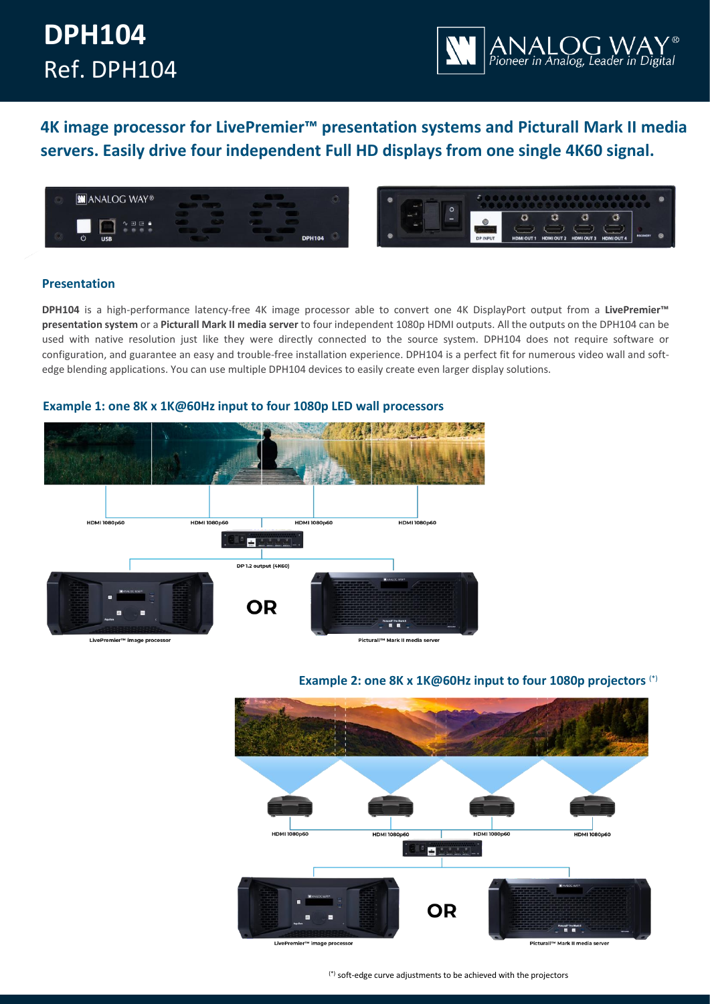# **DPH104** Ref. DPH104



**4K image processor for LivePremier™ presentation systems and Picturall Mark II media servers. Easily drive four independent Full HD displays from one single 4K60 signal.**





# **Presentation**

**DPH104** is a high-performance latency-free 4K image processor able to convert one 4K DisplayPort output from a **LivePremier™ presentation system** or a **Picturall Mark II media server** to four independent 1080p HDMI outputs. All the outputs on the DPH104 can be used with native resolution just like they were directly connected to the source system. DPH104 does not require software or configuration, and guarantee an easy and trouble-free installation experience. DPH104 is a perfect fit for numerous video wall and softedge blending applications. You can use multiple DPH104 devices to easily create even larger display solutions.



# **Example 1: one 8K x 1K@60Hz input to four 1080p LED wall processors**

# **Example 2: one 8K x 1K@60Hz input to four 1080p projectors** (\*)



(\*) soft-edge curve adjustments to be achieved with the projectors